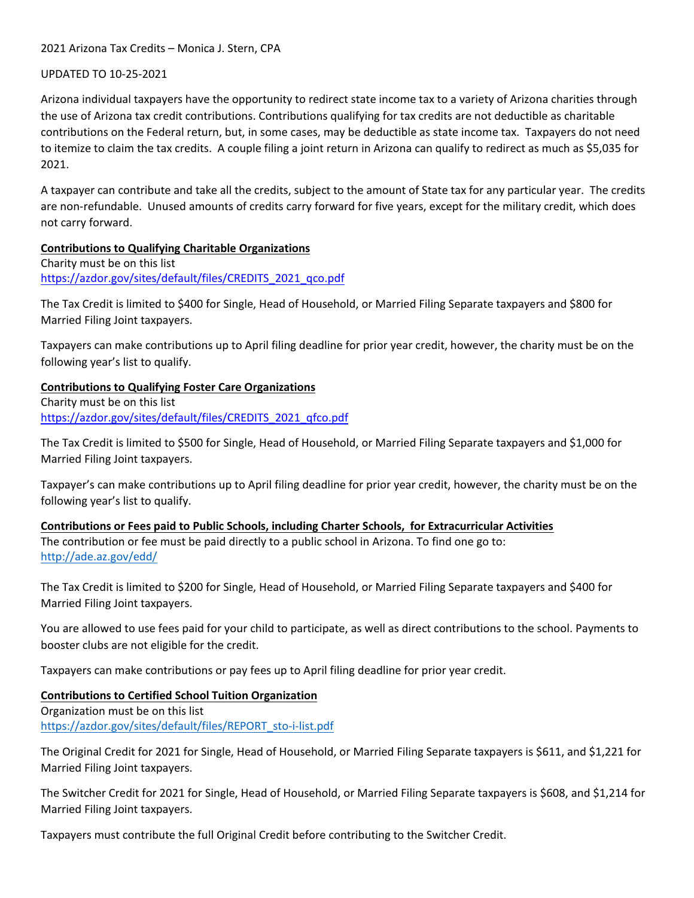2021 Arizona Tax Credits – Monica J. Stern, CPA

### UPDATED TO 10-25-2021

Arizona individual taxpayers have the opportunity to redirect state income tax to a variety of Arizona charities through the use of Arizona tax credit contributions. Contributions qualifying for tax credits are not deductible as charitable contributions on the Federal return, but, in some cases, may be deductible as state income tax. Taxpayers do not need to itemize to claim the tax credits. A couple filing a joint return in Arizona can qualify to redirect as much as \$5,035 for 2021.

A taxpayer can contribute and take all the credits, subject to the amount of State tax for any particular year. The credits are non-refundable. Unused amounts of credits carry forward for five years, except for the military credit, which does not carry forward.

## **Contributions to Qualifying Charitable Organizations**

Charity must be on this list [https://azdor.gov/sites/default/files/CREDITS\\_2021\\_qco.pdf](https://azdor.gov/sites/default/files/CREDITS_2021_qco.pdf)

The Tax Credit is limited to \$400 for Single, Head of Household, or Married Filing Separate taxpayers and \$800 for Married Filing Joint taxpayers.

Taxpayers can make contributions up to April filing deadline for prior year credit, however, the charity must be on the following year's list to qualify.

# **Contributions to Qualifying Foster Care Organizations**

Charity must be on this list [https://azdor.gov/sites/default/files/CREDITS\\_2021\\_qfco.pdf](https://azdor.gov/sites/default/files/CREDITS_2021_qfco.pdf)

The Tax Credit is limited to \$500 for Single, Head of Household, or Married Filing Separate taxpayers and \$1,000 for Married Filing Joint taxpayers.

Taxpayer's can make contributions up to April filing deadline for prior year credit, however, the charity must be on the following year's list to qualify.

**Contributions or Fees paid to Public Schools, including Charter Schools, for Extracurricular Activities** The contribution or fee must be paid directly to a public school in Arizona. To find one go to: <http://ade.az.gov/edd/>

The Tax Credit is limited to \$200 for Single, Head of Household, or Married Filing Separate taxpayers and \$400 for Married Filing Joint taxpayers.

You are allowed to use fees paid for your child to participate, as well as direct contributions to the school. Payments to booster clubs are not eligible for the credit.

Taxpayers can make contributions or pay fees up to April filing deadline for prior year credit.

# **Contributions to Certified School Tuition Organization**

Organization must be on this list [https://azdor.gov/sites/default/files/REPORT\\_sto-i-list.pdf](https://azdor.gov/sites/default/files/REPORTS_sto-i-list.pdf)

The Original Credit for 2021 for Single, Head of Household, or Married Filing Separate taxpayers is \$611, and \$1,221 for Married Filing Joint taxpayers.

The Switcher Credit for 2021 for Single, Head of Household, or Married Filing Separate taxpayers is \$608, and \$1,214 for Married Filing Joint taxpayers.

Taxpayers must contribute the full Original Credit before contributing to the Switcher Credit.